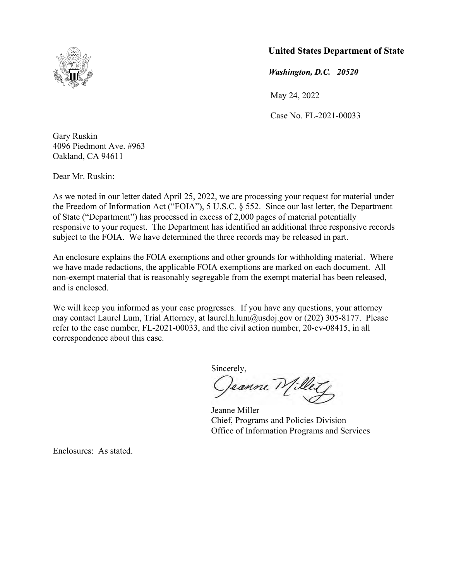

## **United States Department of State**

Washington, D.C. 20520

May 24, 2022

Case No. FL-2021-00033

Gary Ruskin 4096 Piedmont Ave. #963 Oakland, CA 94611

Dear Mr. Ruskin:

As we noted in our letter dated April 25, 2022, we are processing your request for material under the Freedom of Information Act ("FOIA"), 5 U.S.C. § 552. Since our last letter, the Department of State ("Department") has processed in excess of 2,000 pages of material potentially responsive to your request. The Department has identified an additional three responsive records subject to the FOIA. We have determined the three records may be released in part.

An enclosure explains the FOIA exemptions and other grounds for withholding material. Where we have made redactions, the applicable FOIA exemptions are marked on each document. All non-exempt material that is reasonably segregable from the exempt material has been released, and is enclosed.

We will keep you informed as your case progresses. If you have any questions, your attorney may contact Laurel Lum, Trial Attorney, at laurel.h.lum@usdoj.gov or (202) 305-8177. Please refer to the case number, FL-2021-00033, and the civil action number, 20-cv-08415, in all correspondence about this case.

Sincerely,<br>Ceanne Millez

Jeanne Miller Chief, Programs and Policies Division Office of Information Programs and Services

Enclosures: As stated.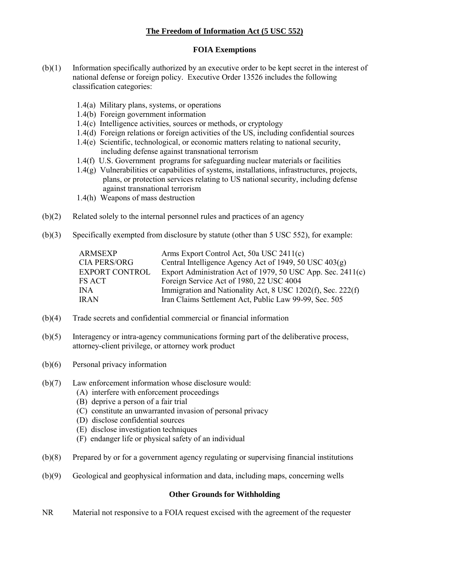### **The Freedom of Information Act (5 USC 552)**

#### **FOIA Exemptions**

- (b)(1) Information specifically authorized by an executive order to be kept secret in the interest of national defense or foreign policy. Executive Order 13526 includes the following classification categories:
	- 1.4(a) Military plans, systems, or operations
	- 1.4(b) Foreign government information
	- 1.4(c) Intelligence activities, sources or methods, or cryptology
	- 1.4(d) Foreign relations or foreign activities of the US, including confidential sources
	- 1.4(e) Scientific, technological, or economic matters relating to national security, including defense against transnational terrorism
	- 1.4(f) U.S. Government programs for safeguarding nuclear materials or facilities
	- $1.4(g)$  Vulnerabilities or capabilities of systems, installations, infrastructures, projects, plans, or protection services relating to US national security, including defense against transnational terrorism
	- 1.4(h) Weapons of mass destruction
- (b)(2) Related solely to the internal personnel rules and practices of an agency
- (b)(3) Specifically exempted from disclosure by statute (other than 5 USC 552), for example:

| ARMSEXP               | Arms Export Control Act, 50a USC 2411(c)                    |
|-----------------------|-------------------------------------------------------------|
| <b>CIA PERS/ORG</b>   | Central Intelligence Agency Act of 1949, 50 USC 403(g)      |
| <b>EXPORT CONTROL</b> | Export Administration Act of 1979, 50 USC App. Sec. 2411(c) |
| <b>FS ACT</b>         | Foreign Service Act of 1980, 22 USC 4004                    |
| <b>INA</b>            | Immigration and Nationality Act, 8 USC 1202(f), Sec. 222(f) |
| <b>IRAN</b>           | Iran Claims Settlement Act, Public Law 99-99, Sec. 505      |

- (b)(4) Trade secrets and confidential commercial or financial information
- (b)(5) Interagency or intra-agency communications forming part of the deliberative process, attorney-client privilege, or attorney work product
- (b)(6) Personal privacy information
- (b)(7) Law enforcement information whose disclosure would:
	- (A) interfere with enforcement proceedings
	- (B) deprive a person of a fair trial
	- (C) constitute an unwarranted invasion of personal privacy
	- (D) disclose confidential sources
	- (E) disclose investigation techniques
	- (F) endanger life or physical safety of an individual
- (b)(8) Prepared by or for a government agency regulating or supervising financial institutions
- (b)(9) Geological and geophysical information and data, including maps, concerning wells

#### **Other Grounds for Withholding**

NR Material not responsive to a FOIA request excised with the agreement of the requester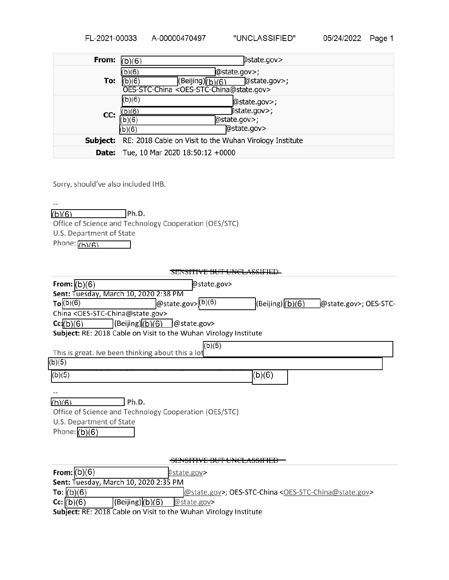05/24/2022 Page 1 FL-2021-00033 A-00000470497 "UNCLASSIFIED"

| From:    | destate.gov><br>(b)(6)                                                                                                                   |
|----------|------------------------------------------------------------------------------------------------------------------------------------------|
| To:      | (b)(6)<br>@state.gov>;<br>(Beijing)(b)(6)<br>@state.gov>;<br>(b)(6)<br>OES-STC-China <oes-stc-china@state.gov></oes-stc-china@state.gov> |
| CC:      | (b)(6)<br>@state.gov>;<br>destate.gov>;<br>(b)(6)<br>(b)(6)<br>@state.gov>;<br>@state.gov><br>(b)(6)                                     |
| Subject: | RE: 2018 Cable on Visit to the Wuhan Virology Institute                                                                                  |
| Date:    | Tue, 10 Mar 2020 18:50:12 +0000                                                                                                          |

Sorry, should've also included IHB.

 $\overline{\phantom{a}}$  $(b)(6)$  Ph.D. Office of Science and Technology Cooperation (OES/STC) U.S. Department of State Phone:  $(h)(6)$ 

|                          |                                                                  | SENSITIVE BUT UNCLASSIFIED.                                                    |                  |                       |
|--------------------------|------------------------------------------------------------------|--------------------------------------------------------------------------------|------------------|-----------------------|
| From: $(b)(6)$           |                                                                  | @state.gov>                                                                    |                  |                       |
|                          | Sent: Tuesday, March 10, 2020 2:38 PM                            |                                                                                |                  |                       |
| To(6)(6)                 | @state.gov>(b)(6)                                                |                                                                                | (Beijing) (b)(6) | @state.gov>; OES-STC- |
|                          | China <oes-stc-china@state.gov></oes-stc-china@state.gov>        |                                                                                |                  |                       |
| Cc:(b)(6)                | (Beijing)(b)(6)<br>@state.gov>                                   |                                                                                |                  |                       |
|                          | Subject: RE: 2018 Cable on Visit to the Wuhan Virology Institute |                                                                                |                  |                       |
|                          |                                                                  | (b)(5)                                                                         |                  |                       |
|                          | This is great. Ive been thinking about this a lot                |                                                                                |                  |                       |
| (b)(5)                   |                                                                  |                                                                                |                  |                       |
| (b)(5)                   |                                                                  | (b)(6)                                                                         |                  |                       |
|                          |                                                                  |                                                                                |                  |                       |
| (h)(6)                   | Ph.D.                                                            |                                                                                |                  |                       |
|                          | Office of Science and Technology Cooperation (OES/STC)           |                                                                                |                  |                       |
| U.S. Department of State |                                                                  |                                                                                |                  |                       |
| Phone: $(b)(6)$          |                                                                  |                                                                                |                  |                       |
|                          |                                                                  |                                                                                |                  |                       |
|                          |                                                                  |                                                                                |                  |                       |
|                          |                                                                  | <b>ENSITIVE BUT UNCLASSIFIE</b>                                                |                  |                       |
| From: (b)(6)             | Dstate.gov>                                                      |                                                                                |                  |                       |
|                          | Sent: Tuesday, March 10, 2020 2:35 PM                            |                                                                                |                  |                       |
| To: $(b)(6)$             |                                                                  | @state.gov>; OES-STC-China <oes-stc-china@state.gov></oes-stc-china@state.gov> |                  |                       |
| Cc: (b)(6)               | (Beijing)(b)(6)<br>@state.gov>                                   |                                                                                |                  |                       |
|                          | Subject: RE: 2018 Cable on Visit to the Wuhan Virology Institute |                                                                                |                  |                       |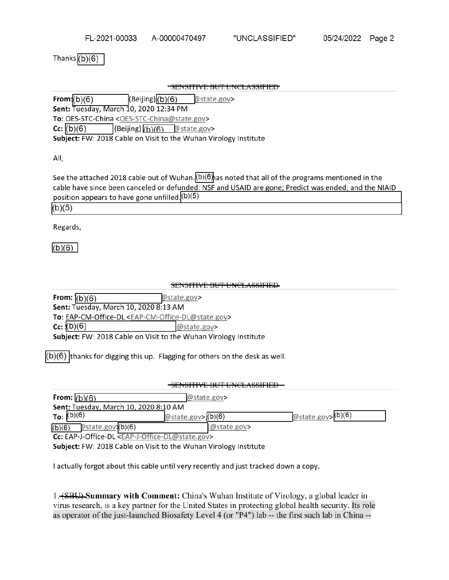Thanks  $(b)(6)$ 

#### <u>-SENSITIVE BUT UNCLASSIFIED</u>

From: $(b)(6)$  $(Beijing)(b)(6)$ @state.gov> Sent: Tuesday, March 10, 2020 12:34 PM To: OES-STC-China <OES-STC-China@state.gov>  $Cc: (b)(6)$ (Beijing) (b)(6) @state.gov> Subject: FW: 2018 Cable on Visit to the Wuhan Virology Institute

All,

See the attached 2018 cable out of Wuhan.  $(b)(6)$  as noted that all of the programs mentioned in the cable have since been canceled or defunded: NSF and USAID are gone; Predict was ended; and the NIAID position appears to have gone unfilled. (b)(5)

 $(b)(5)$ 

Regards,

 $(b)(6)$ 

#### **SENSITIVE BUT UNCLASSIFIED**

From:  $(6)(6)$ @state.gov> Sent: Tuesday, March 10, 2020 8:13 AM To: EAP-CM-Office-DL <EAP-CM-Office-DL@state.gov>  $Cc: (b)(6)$ @state.gov> Subject: FW: 2018 Cable on Visit to the Wuhan Virology Institute

 $($ b $)$ (6) thanks for digging this up. Flagging for others on the desk as well.

#### SENSITIVE BUT UNCLASSIFIED

| From: $(6)(6)$                                                              | @state.gov>       |                           |
|-----------------------------------------------------------------------------|-------------------|---------------------------|
| <b>Sent: Tuesday, March 10, 2020 8:10 AM</b>                                |                   |                           |
| To: $(6)(6)$                                                                | @state.gov>(b)(6) | $\omega$ state.gov>(b)(6) |
| $\mathcal{D}$ state.gov $\lambda$ (b)(6)<br>(b)(6)                          | @state.gov>       |                           |
| Cc: EAP-J-Office-DL <eap-j-office-dl@state.gov></eap-j-office-dl@state.gov> |                   |                           |

Subject: FW: 2018 Cable on Visit to the Wuhan Virology Institute

I actually forgot about this cable until very recently and just tracked down a copy.

1. (SBU) Summary with Comment: China's Wuhan Institute of Virology, a global leader in virus research, is a key partner for the United States in protecting global health security. Its role as operator of the just-launched Biosafety Level 4 (or "P4") lab -- the first such lab in China --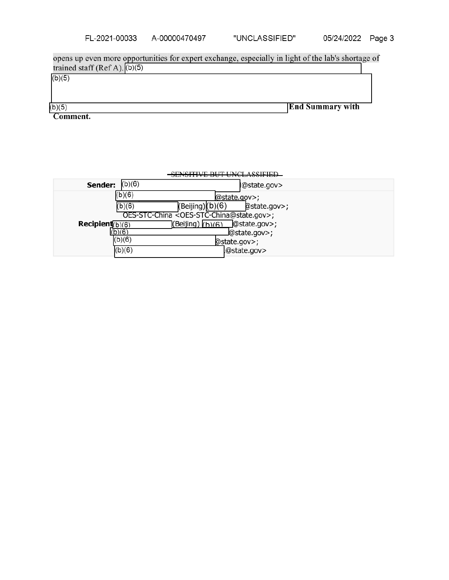| opens up even more opportunities for expert exchange, especially in light of the lab's shortage of |                         |
|----------------------------------------------------------------------------------------------------|-------------------------|
| trained staff (Ref A). $(b)(5)$                                                                    |                         |
| (b)(5)                                                                                             |                         |
|                                                                                                    |                         |
|                                                                                                    |                         |
| (b)(5)                                                                                             | <b>End Summary with</b> |
| Commont                                                                                            |                         |

Comment.

|                    |        | CEMCITIVE DUT UMCLA CCIFIED                                        |
|--------------------|--------|--------------------------------------------------------------------|
| Sender:            | (b)(6) | @state.gov>                                                        |
|                    | (b)(6) | @state.gov>;                                                       |
|                    | (b)(6) | (Beijing)(b)(6)<br>@state.gov>;                                    |
|                    |        | OES-STC-China <oes-stc-china@state.gov>;</oes-stc-china@state.gov> |
| Recipient $(b)(6)$ |        | (Beijing) <mark>/</mark> b)/6)<br>@state.gov>;                     |
|                    | (b)(6) | @state.gov>;                                                       |
|                    | (b)(6) | @state.gov>;                                                       |
|                    | (b)(6) | @state.gov>                                                        |
|                    |        |                                                                    |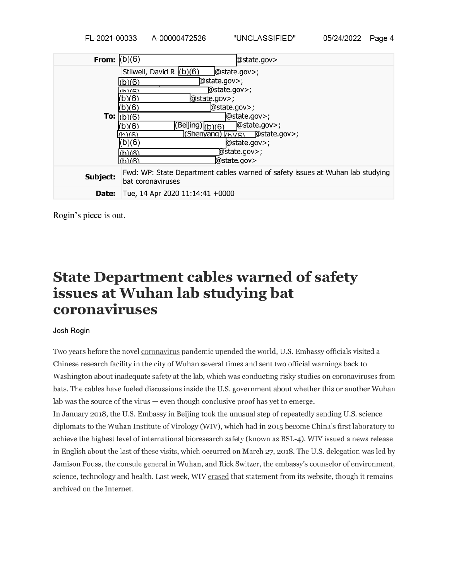FL-2021-00033 A-00000472526 "UNCLASSIFIED" 05/24/2022 Page 4

| From: $(b)(6)$ |                                           | @state.gov>                                                                    |
|----------------|-------------------------------------------|--------------------------------------------------------------------------------|
|                | Stilwell, David R $($ b $)(6)$            | @state.gov>;                                                                   |
|                | (b)(6)                                    | @state.gov>;                                                                   |
|                | (h)/f)                                    | @state.gov>;                                                                   |
|                | (b)(6)<br>@state.gov>;                    |                                                                                |
|                | (b)(6)                                    | @state.gov>;                                                                   |
|                | <b>To:</b> $(6)(6)$                       | @state.gov>;                                                                   |
|                | $\overline{(Beijing)}$ $(b)(6)$<br>(b)(6) | @state.gov>;                                                                   |
|                | (h)(6)                                    | $(Shenyang)$ $\sqrt{(h)(a)}$ @state.gov>;                                      |
|                | (b)(6)                                    | @state.gov>;                                                                   |
|                | (h)(6)                                    | @state.gov>;                                                                   |
|                | (h)(6)                                    | @state.gov>                                                                    |
| Subject:       | bat coronaviruses                         | Fwd: WP: State Department cables warned of safety issues at Wuhan lab studying |
|                |                                           |                                                                                |
| Date:          | Tue, 14 Apr 2020 11:14:41 +0000           |                                                                                |

Rogin's piece is out.

# **State Department cables warned of safety** issues at Wuhan lab studying bat coronaviruses

#### Josh Rogin

Two years before the novel coronavirus pandemic upended the world, U.S. Embassy officials visited a Chinese research facility in the city of Wuhan several times and sent two official warnings back to Washington about inadequate safety at the lab, which was conducting risky studies on coronaviruses from bats. The cables have fueled discussions inside the U.S. government about whether this or another Wuhan lab was the source of the virus — even though conclusive proof has yet to emerge. In January 2018, the U.S. Embassy in Beijing took the unusual step of repeatedly sending U.S. science diplomats to the Wuhan Institute of Virology (WIV), which had in 2015 become China's first laboratory to achieve the highest level of international bioresearch safety (known as BSL-4). WIV issued a news release in English about the last of these visits, which occurred on March 27, 2018. The U.S. delegation was led by Jamison Fouss, the consule general in Wuhan, and Rick Switzer, the embassy's counselor of environment, science, technology and health. Last week, WIV erased that statement from its website, though it remains archived on the Internet.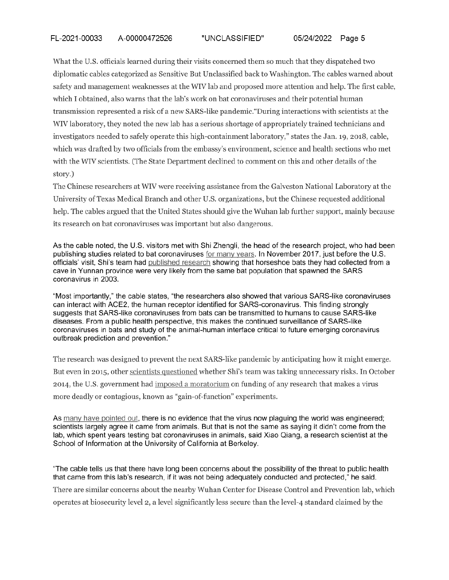What the U.S. officials learned during their visits concerned them so much that they dispatched two diplomatic cables categorized as Sensitive But Unclassified back to Washington. The cables warned about safety and management weaknesses at the WIV lab and proposed more attention and help. The first cable, which I obtained, also warns that the lab's work on bat coronaviruses and their potential human transmission represented a risk of a new SARS-like pandemic. "During interactions with scientists at the WIV laboratory, they noted the new lab has a serious shortage of appropriately trained technicians and investigators needed to safely operate this high-containment laboratory," states the Jan. 19, 2018, cable, which was drafted by two officials from the embassy's environment, science and health sections who met with the WIV scientists. (The State Department declined to comment on this and other details of the story.)

The Chinese researchers at WIV were receiving assistance from the Galveston National Laboratory at the University of Texas Medical Branch and other U.S. organizations, but the Chinese requested additional help. The cables argued that the United States should give the Wuhan lab further support, mainly because its research on bat coronaviruses was important but also dangerous.

As the cable noted, the U.S. visitors met with Shi Zhengli, the head of the research project, who had been publishing studies related to bat coronaviruses for many years. In November 2017, just before the U.S. officials' visit, Shi's team had published research showing that horseshoe bats they had collected from a cave in Yunnan province were very likely from the same bat population that spawned the SARS coronavirus in 2003.

"Most importantly," the cable states, "the researchers also showed that various SARS-like coronaviruses can interact with ACE2, the human receptor identified for SARS-coronavirus. This finding strongly suggests that SARS-like coronaviruses from bats can be transmitted to humans to cause SARS-like diseases. From a public health perspective, this makes the continued surveillance of SARS-like coronaviruses in bats and study of the animal-human interface critical to future emerging coronavirus outbreak prediction and prevention."

The research was designed to prevent the next SARS-like pandemic by anticipating how it might emerge. But even in 2015, other scientists questioned whether Shi's team was taking unnecessary risks. In October 2014, the U.S. government had imposed a moratorium on funding of any research that makes a virus more deadly or contagious, known as "gain-of-function" experiments.

As many have pointed out, there is no evidence that the virus now plaguing the world was engineered; scientists largely agree it came from animals. But that is not the same as saying it didn't come from the lab, which spent years testing bat coronaviruses in animals, said Xiao Qiang, a research scientist at the School of Information at the University of California at Berkeley.

"The cable tells us that there have long been concerns about the possibility of the threat to public health that came from this lab's research, if it was not being adequately conducted and protected," he said. There are similar concerns about the nearby Wuhan Center for Disease Control and Prevention lab, which operates at biosecurity level 2, a level significantly less secure than the level-4 standard claimed by the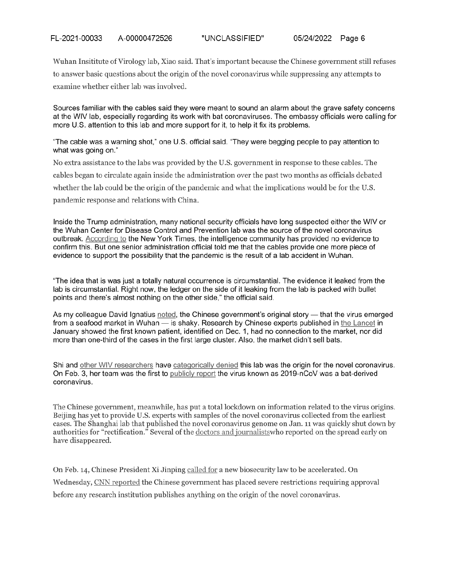Wuhan Insititute of Virology lab, Xiao said. That's important because the Chinese government still refuses to answer basic questions about the origin of the novel coronavirus while suppressing any attempts to examine whether either lab was involved.

Sources familiar with the cables said they were meant to sound an alarm about the grave safety concerns at the WIV lab, especially regarding its work with bat coronaviruses. The embassy officials were calling for more U.S. attention to this lab and more support for it, to help it fix its problems.

"The cable was a warning shot," one U.S. official said. "They were begging people to pay attention to what was going on."

No extra assistance to the labs was provided by the U.S. government in response to these cables. The cables began to circulate again inside the administration over the past two months as officials debated whether the lab could be the origin of the pandemic and what the implications would be for the U.S. pandemic response and relations with China.

Inside the Trump administration, many national security officials have long suspected either the WIV or the Wuhan Center for Disease Control and Prevention lab was the source of the novel coronavirus outbreak. According to the New York Times, the intelligence community has provided no evidence to confirm this. But one senior administration official told me that the cables provide one more piece of evidence to support the possibility that the pandemic is the result of a lab accident in Wuhan.

"The idea that is was just a totally natural occurrence is circumstantial. The evidence it leaked from the lab is circumstantial. Right now, the ledger on the side of it leaking from the lab is packed with bullet points and there's almost nothing on the other side," the official said.

As my colleague David Ignatius noted, the Chinese government's original story - that the virus emerged from a seafood market in Wuhan — is shaky. Research by Chinese experts published in the Lancet in January showed the first known patient, identified on Dec. 1, had no connection to the market, nor did more than one-third of the cases in the first large cluster. Also, the market didn't sell bats.

Shi and other WIV researchers have categorically denied this lab was the origin for the novel coronavirus. On Feb. 3, her team was the first to publicly report the virus known as 2019-nCoV was a bat-derived coronavirus.

The Chinese government, meanwhile, has put a total lockdown on information related to the virus origins. Beijing has yet to provide U.S. experts with samples of the novel coronavirus collected from the earliest cases. The Shanghai lab that published the novel coronavirus genome on Jan. 11 was quickly shut down by authorities for "rectification." Several of the doctors and journalists who reported on the spread early on have disappeared.

On Feb. 14, Chinese President Xi Jinping called for a new biosecurity law to be accelerated. On Wednesday, CNN reported the Chinese government has placed severe restrictions requiring approval before any research institution publishes anything on the origin of the novel coronavirus.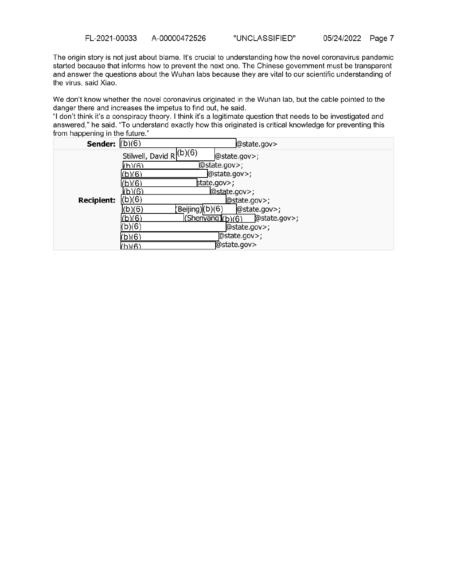The origin story is not just about blame. It's crucial to understanding how the novel coronavirus pandemic started because that informs how to prevent the next one. The Chinese government must be transparent and answer the questions about the Wuhan labs because they are vital to our scientific understanding of the virus, said Xiao.

We don't know whether the novel coronavirus originated in the Wuhan lab, but the cable pointed to the danger there and increases the impetus to find out, he said.

"I don't think it's a conspiracy theory. I think it's a legitimate question that needs to be investigated and answered," he said. "To understand exactly how this originated is critical knowledge for preventing this from happening in the future."

|                                              |                                                                                                       |                                     | @state.gov>                                                                                                                 |
|----------------------------------------------|-------------------------------------------------------------------------------------------------------|-------------------------------------|-----------------------------------------------------------------------------------------------------------------------------|
| <b>Sender:</b> $(6)(6)$<br><b>Recipient:</b> | Stilwell, David R (b)(6)<br>(h)(6)<br><u>(b)(6)</u><br>(b)(6)<br>(b)(6)<br>(b)(6)<br>(b)(6)<br>(b)(6) | (Beijing)(b)(6)<br>(Shenyang)(b)(6) | @state.gov>;<br>@state.gov>;<br>@state.gov>;<br>state.gov>;<br>@state.gov>;<br>@state.gov>;<br>@state.gov>;<br>@state.gov>; |
|                                              | (b)(6)                                                                                                |                                     | @state.gov>;<br>@state.gov>;                                                                                                |
|                                              | (b)(6)                                                                                                |                                     |                                                                                                                             |
|                                              | (h)(6)                                                                                                |                                     | @state.gov>                                                                                                                 |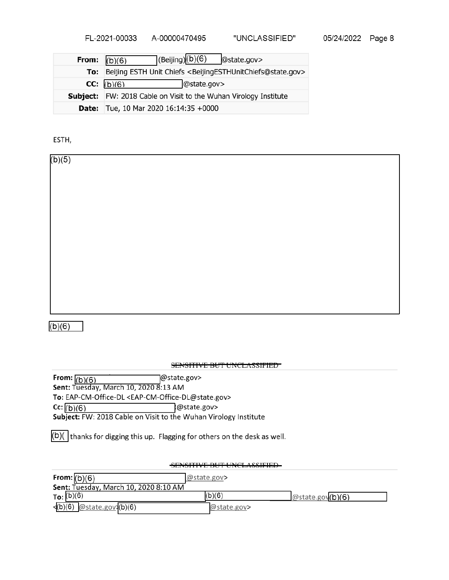FL-2021-00033 A-00000470495 "UNCLASSIFIED"

| From: | $\log(b)(6)$<br>@state.gov><br>(b)(6)                                                            |
|-------|--------------------------------------------------------------------------------------------------|
|       | To: Beijing ESTH Unit Chiefs <beijingesthunitchiefs@state.gov></beijingesthunitchiefs@state.gov> |
|       | CC: (b)(6)<br>@state.gov>                                                                        |
|       | <b>Subject:</b> FW: 2018 Cable on Visit to the Wuhan Virology Institute                          |
| Date: | Tue, 10 Mar 2020 16:14:35 +0000                                                                  |

ESTH,

| (b)(6) |
|--------|

#### SENSITIVE BUT UNCLASSIFIED

From:  $(b)(6)$  @state.<br>Sent: Tuesday, March 10, 2020 8:13 AM @state.gov> To: EAP-CM-Office-DL <EAP-CM-Office-DL@state.gov>  $Cc: (b)(6)$ @state.gov> Subject: FW: 2018 Cable on Visit to the Wuhan Virology Institute

 $(b)($  thanks for digging this up. Flagging for others on the desk as well.

#### SENSITIVE BUT UNCLASSIFIED-

| From: (b)(6)                                 | @state.gov> |                  |
|----------------------------------------------|-------------|------------------|
| <b>Sent: Tuesday, March 10, 2020 8:10 AM</b> |             |                  |
| To: (b)(6)                                   | (b)(6)      | @state.gov(b)(6) |
| $\sqrt{(b)(6)}$ @state.gov $\sqrt{(b)(6)}$   | @state.gov> |                  |